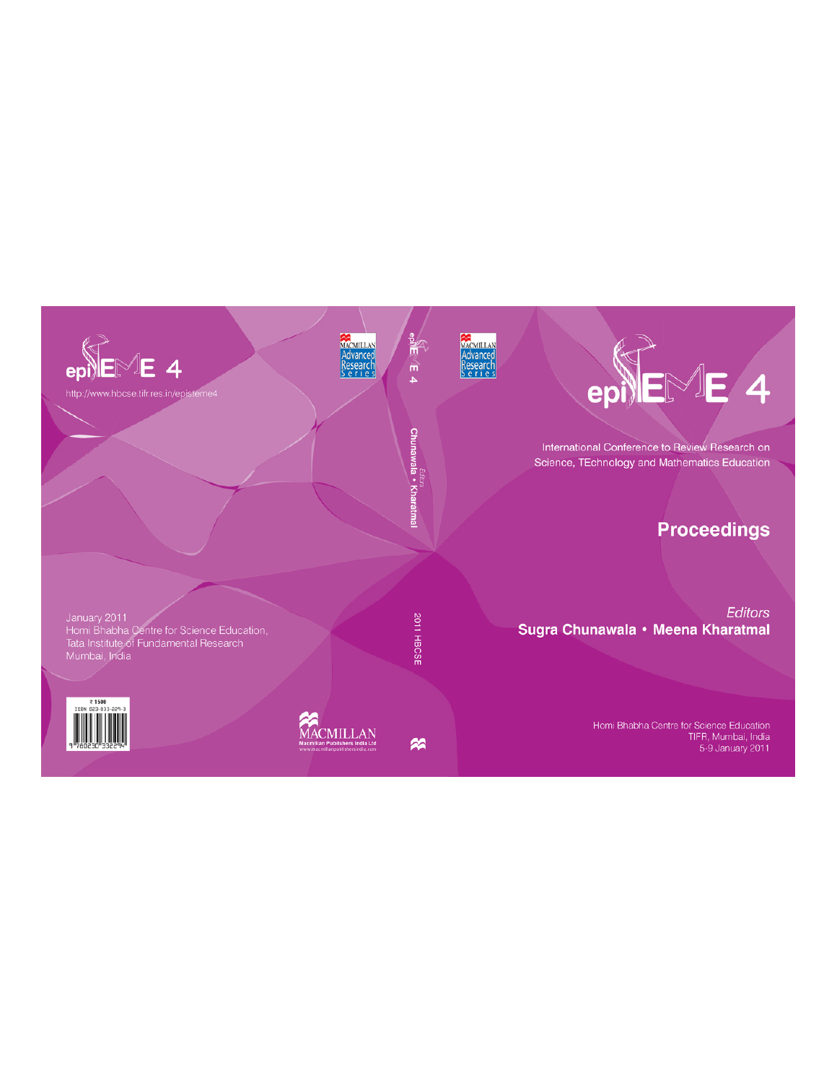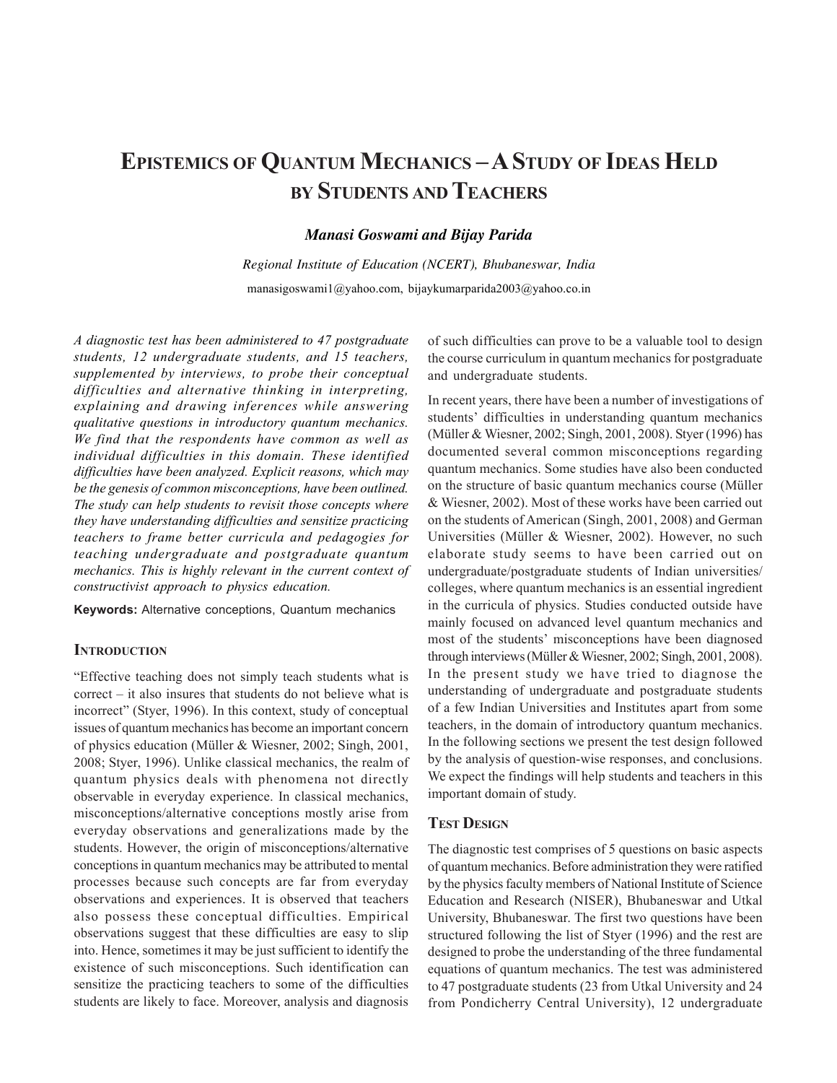# **EPISTEMICS OF QUANTUM MECHANICS – A STUDY OF IDEAS HELD BY STUDENTS AND TEACHERS**

## *Manasi Goswami and Bijay Parida*

*Regional Institute of Education (NCERT), Bhubaneswar, India* manasigoswami1@yahoo.com, bijaykumarparida2003@yahoo.co.in

*A diagnostic test has been administered to 47 postgraduate students, 12 undergraduate students, and 15 teachers, supplemented by interviews, to probe their conceptual difficulties and alternative thinking in interpreting, explaining and drawing inferences while answering qualitative questions in introductory quantum mechanics. We find that the respondents have common as well as individual difficulties in this domain. These identified difficulties have been analyzed. Explicit reasons, which may be the genesis of common misconceptions, have been outlined. The study can help students to revisit those concepts where they have understanding difficulties and sensitize practicing teachers to frame better curricula and pedagogies for teaching undergraduate and postgraduate quantum mechanics. This is highly relevant in the current context of constructivist approach to physics education.*

**Keywords:** Alternative conceptions, Quantum mechanics

## **INTRODUCTION**

"Effective teaching does not simply teach students what is correct – it also insures that students do not believe what is incorrect" (Styer, 1996). In this context, study of conceptual issues of quantum mechanics has become an important concern of physics education (Müller & Wiesner, 2002; Singh, 2001, 2008; Styer, 1996). Unlike classical mechanics, the realm of quantum physics deals with phenomena not directly observable in everyday experience. In classical mechanics, misconceptions/alternative conceptions mostly arise from everyday observations and generalizations made by the students. However, the origin of misconceptions/alternative conceptions in quantum mechanics may be attributed to mental processes because such concepts are far from everyday observations and experiences. It is observed that teachers also possess these conceptual difficulties. Empirical observations suggest that these difficulties are easy to slip into. Hence, sometimes it may be just sufficient to identify the existence of such misconceptions. Such identification can sensitize the practicing teachers to some of the difficulties students are likely to face. Moreover, analysis and diagnosis of such difficulties can prove to be a valuable tool to design the course curriculum in quantum mechanics for postgraduate and undergraduate students.

In recent years, there have been a number of investigations of students' difficulties in understanding quantum mechanics (Müller & Wiesner, 2002; Singh, 2001, 2008). Styer (1996) has documented several common misconceptions regarding quantum mechanics. Some studies have also been conducted on the structure of basic quantum mechanics course (Müller & Wiesner, 2002). Most of these works have been carried out on the students of American (Singh, 2001, 2008) and German Universities (Müller & Wiesner, 2002). However, no such elaborate study seems to have been carried out on undergraduate/postgraduate students of Indian universities/ colleges, where quantum mechanics is an essential ingredient in the curricula of physics. Studies conducted outside have mainly focused on advanced level quantum mechanics and most of the students' misconceptions have been diagnosed through interviews (Müller & Wiesner, 2002; Singh, 2001, 2008). In the present study we have tried to diagnose the understanding of undergraduate and postgraduate students of a few Indian Universities and Institutes apart from some teachers, in the domain of introductory quantum mechanics. In the following sections we present the test design followed by the analysis of question-wise responses, and conclusions. We expect the findings will help students and teachers in this important domain of study.

#### **TEST DESIGN**

The diagnostic test comprises of 5 questions on basic aspects of quantum mechanics. Before administration they were ratified by the physics faculty members of National Institute of Science Education and Research (NISER), Bhubaneswar and Utkal University, Bhubaneswar. The first two questions have been structured following the list of Styer (1996) and the rest are designed to probe the understanding of the three fundamental equations of quantum mechanics. The test was administered to 47 postgraduate students (23 from Utkal University and 24 from Pondicherry Central University), 12 undergraduate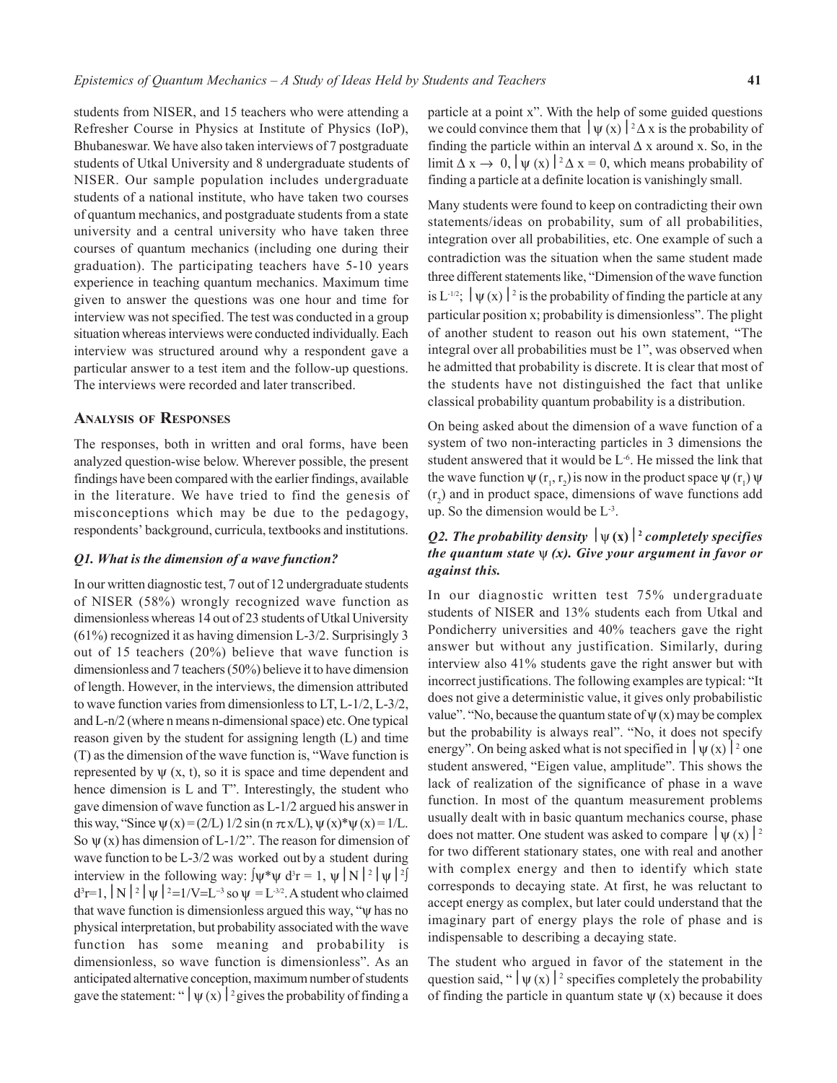students from NISER, and 15 teachers who were attending a Refresher Course in Physics at Institute of Physics (IoP), Bhubaneswar. We have also taken interviews of 7 postgraduate students of Utkal University and 8 undergraduate students of NISER. Our sample population includes undergraduate students of a national institute, who have taken two courses of quantum mechanics, and postgraduate students from a state university and a central university who have taken three courses of quantum mechanics (including one during their graduation). The participating teachers have 5-10 years experience in teaching quantum mechanics. Maximum time given to answer the questions was one hour and time for interview was not specified. The test was conducted in a group situation whereas interviews were conducted individually. Each interview was structured around why a respondent gave a particular answer to a test item and the follow-up questions. The interviews were recorded and later transcribed.

#### **ANALYSIS OF RESPONSES**

The responses, both in written and oral forms, have been analyzed question-wise below. Wherever possible, the present findings have been compared with the earlier findings, available in the literature. We have tried to find the genesis of misconceptions which may be due to the pedagogy, respondents' background, curricula, textbooks and institutions.

#### *Q1. What is the dimension of a wave function?*

In our written diagnostic test, 7 out of 12 undergraduate students of NISER (58%) wrongly recognized wave function as dimensionless whereas 14 out of 23 students of Utkal University (61%) recognized it as having dimension L-3/2. Surprisingly 3 out of 15 teachers (20%) believe that wave function is dimensionless and 7 teachers (50%) believe it to have dimension of length. However, in the interviews, the dimension attributed to wave function varies from dimensionless to LT, L-1/2, L-3/2, and L-n/2 (where n means n-dimensional space) etc. One typical reason given by the student for assigning length (L) and time (T) as the dimension of the wave function is, "Wave function is represented by  $\psi$  (x, t), so it is space and time dependent and hence dimension is L and T". Interestingly, the student who gave dimension of wave function as L-1/2 argued his answer in this way, "Since  $\psi(x) = (2/L) 1/2 \sin(n \pi x/L)$ ,  $\psi(x)^* \psi(x) = 1/L$ . So  $\psi$  (x) has dimension of L-1/2". The reason for dimension of wave function to be L-3/2 was worked out by a student during interview in the following way:  $\psi^* \psi \, d^3 r = 1$ ,  $\psi | N |^2 |\psi |^2$  $d^3r=1$ ,  $\vert N \vert^2 \vert \psi \vert^2 =1/V=L^{-3}$  so  $\psi = L^{-3/2}$ . A student who claimed that wave function is dimensionless argued this way, "ψ has no physical interpretation, but probability associated with the wave function has some meaning and probability is dimensionless, so wave function is dimensionless". As an anticipated alternative conception, maximum number of students gave the statement: "  $|\psi(x)|^2$  gives the probability of finding a particle at a point x". With the help of some guided questions we could convince them that  $|\psi(x)|^2 \Delta x$  is the probability of finding the particle within an interval  $\Delta x$  around x. So, in the limit  $\Delta x \rightarrow 0$ ,  $|\psi(x)|^2 \Delta x = 0$ , which means probability of finding a particle at a definite location is vanishingly small.

Many students were found to keep on contradicting their own statements/ideas on probability, sum of all probabilities, integration over all probabilities, etc. One example of such a contradiction was the situation when the same student made three different statements like, "Dimension of the wave function is L<sup>-1/2</sup>;  $|\psi(x)|^2$  is the probability of finding the particle at any particular position x; probability is dimensionless". The plight of another student to reason out his own statement, "The integral over all probabilities must be 1", was observed when he admitted that probability is discrete. It is clear that most of the students have not distinguished the fact that unlike classical probability quantum probability is a distribution.

On being asked about the dimension of a wave function of a system of two non-interacting particles in 3 dimensions the student answered that it would be L-6. He missed the link that the wave function  $\psi(\mathbf{r}_1, \mathbf{r}_2)$  is now in the product space  $\psi(\mathbf{r}_1) \psi$  $(r<sub>2</sub>)$  and in product space, dimensions of wave functions add up. So the dimension would be  $L^{-3}$ .

## *Q2. The probability density*  $|\psi(x)|^2$  completely specifies *the quantum state* ψ *(x). Give your argument in favor or against this.*

In our diagnostic written test 75% undergraduate students of NISER and 13% students each from Utkal and Pondicherry universities and 40% teachers gave the right answer but without any justification. Similarly, during interview also 41% students gave the right answer but with incorrect justifications. The following examples are typical: "It does not give a deterministic value, it gives only probabilistic value". "No, because the quantum state of  $\psi(x)$  may be complex but the probability is always real". "No, it does not specify energy". On being asked what is not specified in  $|\psi(x)|^2$  one student answered, "Eigen value, amplitude". This shows the lack of realization of the significance of phase in a wave function. In most of the quantum measurement problems usually dealt with in basic quantum mechanics course, phase does not matter. One student was asked to compare  $|\psi(x)|^2$ for two different stationary states, one with real and another with complex energy and then to identify which state corresponds to decaying state. At first, he was reluctant to accept energy as complex, but later could understand that the imaginary part of energy plays the role of phase and is indispensable to describing a decaying state.

The student who argued in favor of the statement in the question said, "  $|\psi(x)|^2$  specifies completely the probability of finding the particle in quantum state  $\psi(x)$  because it does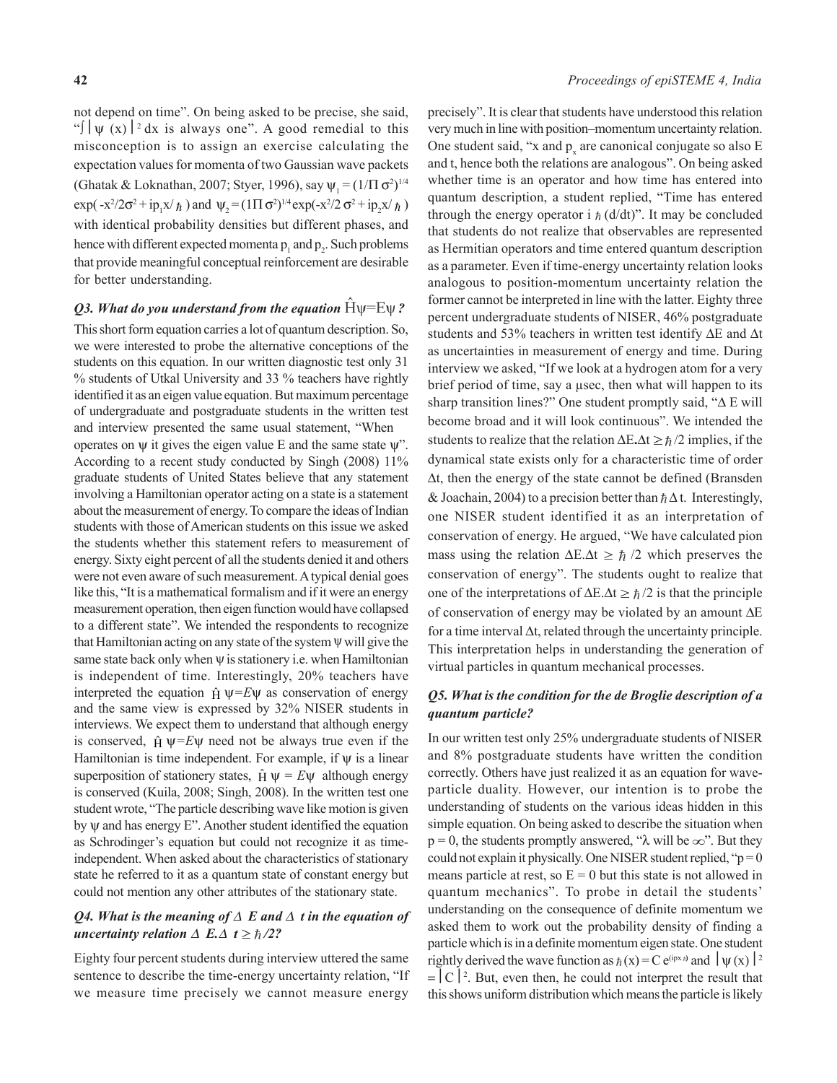not depend on time". On being asked to be precise, she said, "∫  $|\psi(x)|^2 dx$  is always one". A good remedial to this misconception is to assign an exercise calculating the expectation values for momenta of two Gaussian wave packets (Ghatak & Loknathan, 2007; Styer, 1996), say  $\psi_1 = (1/\Pi \sigma^2)^{1/4}$  $\exp(-x^2/2\sigma^2 + ip_1x/\hbar)$  and  $\psi_2 = (1\Pi \sigma^2)^{1/4} \exp(-x^2/2 \sigma^2 + ip_2x/\hbar)$ with identical probability densities but different phases, and hence with different expected momenta  $p_1$  and  $p_2$ . Such problems that provide meaningful conceptual reinforcement are desirable for better understanding.

## *Q3. What do you understand from the equation*  $\hat{H}\psi = E \psi$ ?

This short form equation carries a lot of quantum description. So, we were interested to probe the alternative conceptions of the students on this equation. In our written diagnostic test only 31 % students of Utkal University and 33 % teachers have rightly identified it as an eigen value equation. But maximum percentage of undergraduate and postgraduate students in the written test and interview presented the same usual statement, "When operates on  $\psi$  it gives the eigen value E and the same state  $\psi$ ". According to a recent study conducted by Singh (2008) 11% graduate students of United States believe that any statement involving a Hamiltonian operator acting on a state is a statement about the measurement of energy. To compare the ideas of Indian students with those of American students on this issue we asked the students whether this statement refers to measurement of energy. Sixty eight percent of all the students denied it and others were not even aware of such measurement. A typical denial goes like this, "It is a mathematical formalism and if it were an energy measurement operation, then eigen function would have collapsed to a different state". We intended the respondents to recognize that Hamiltonian acting on any state of the system  $\Psi$  will give the same state back only when  $\psi$  is stationery i.e. when Hamiltonian is independent of time. Interestingly, 20% teachers have interpreted the equation  $\hat{H} \psi = E \psi$  as conservation of energy and the same view is expressed by 32% NISER students in interviews. We expect them to understand that although energy is conserved,  $\hat{H} \psi = E \psi$  need not be always true even if the Hamiltonian is time independent. For example, if  $\psi$  is a linear superposition of stationery states,  $\hat{H} \Psi = E \Psi$  although energy is conserved (Kuila, 2008; Singh, 2008). In the written test one student wrote, "The particle describing wave like motion is given by ψ and has energy E". Another student identified the equation as Schrodinger's equation but could not recognize it as timeindependent. When asked about the characteristics of stationary state he referred to it as a quantum state of constant energy but could not mention any other attributes of the stationary state.

#### *Q4. What is the meaning of* Δ *E and* Δ *t in the equation of uncertainty relation*  $\Delta$  *E.* $\Delta$  *t*  $\geq \frac{\hbar}{2}$ ?

Eighty four percent students during interview uttered the same sentence to describe the time-energy uncertainty relation, "If we measure time precisely we cannot measure energy

precisely". It is clear that students have understood this relation very much in line with position–momentum uncertainty relation. One student said, "x and  $p_x$  are canonical conjugate so also E and t, hence both the relations are analogous". On being asked whether time is an operator and how time has entered into quantum description, a student replied, "Time has entered through the energy operator i  $\hbar$  (d/dt)". It may be concluded that students do not realize that observables are represented as Hermitian operators and time entered quantum description as a parameter. Even if time-energy uncertainty relation looks analogous to position-momentum uncertainty relation the former cannot be interpreted in line with the latter. Eighty three percent undergraduate students of NISER, 46% postgraduate students and 53% teachers in written test identify ΔE and Δt as uncertainties in measurement of energy and time. During interview we asked, "If we look at a hydrogen atom for a very brief period of time, say a μsec, then what will happen to its sharp transition lines?" One student promptly said, "Δ E will become broad and it will look continuous". We intended the students to realize that the relation  $\Delta E \cdot \Delta t \ge \hbar/2$  implies, if the dynamical state exists only for a characteristic time of order Δt, then the energy of the state cannot be defined (Bransden & Joachain, 2004) to a precision better than  $\hbar \Delta t$ . Interestingly, one NISER student identified it as an interpretation of conservation of energy. He argued, "We have calculated pion mass using the relation  $\Delta E \Delta t \geq \hbar /2$  which preserves the conservation of energy". The students ought to realize that one of the interpretations of  $\Delta E \cdot \Delta t \ge \hbar/2$  is that the principle of conservation of energy may be violated by an amount ΔE for a time interval  $\Delta t$ , related through the uncertainty principle. This interpretation helps in understanding the generation of virtual particles in quantum mechanical processes.

## *Q5. What is the condition for the de Broglie description of a quantum particle?*

In our written test only 25% undergraduate students of NISER and 8% postgraduate students have written the condition correctly. Others have just realized it as an equation for waveparticle duality. However, our intention is to probe the understanding of students on the various ideas hidden in this simple equation. On being asked to describe the situation when  $p = 0$ , the students promptly answered, " $\lambda$  will be  $\infty$ ". But they could not explain it physically. One NISER student replied, " $p = 0$ " means particle at rest, so  $E = 0$  but this state is not allowed in quantum mechanics". To probe in detail the students' understanding on the consequence of definite momentum we asked them to work out the probability density of finding a particle which is in a definite momentum eigen state. One student rightly derived the wave function as  $\hbar(x) = C e^{i p x \hbar}$  and  $|\psi(x)|^2$  $= |C|^{2}$ . But, even then, he could not interpret the result that this shows uniform distribution which means the particle is likely